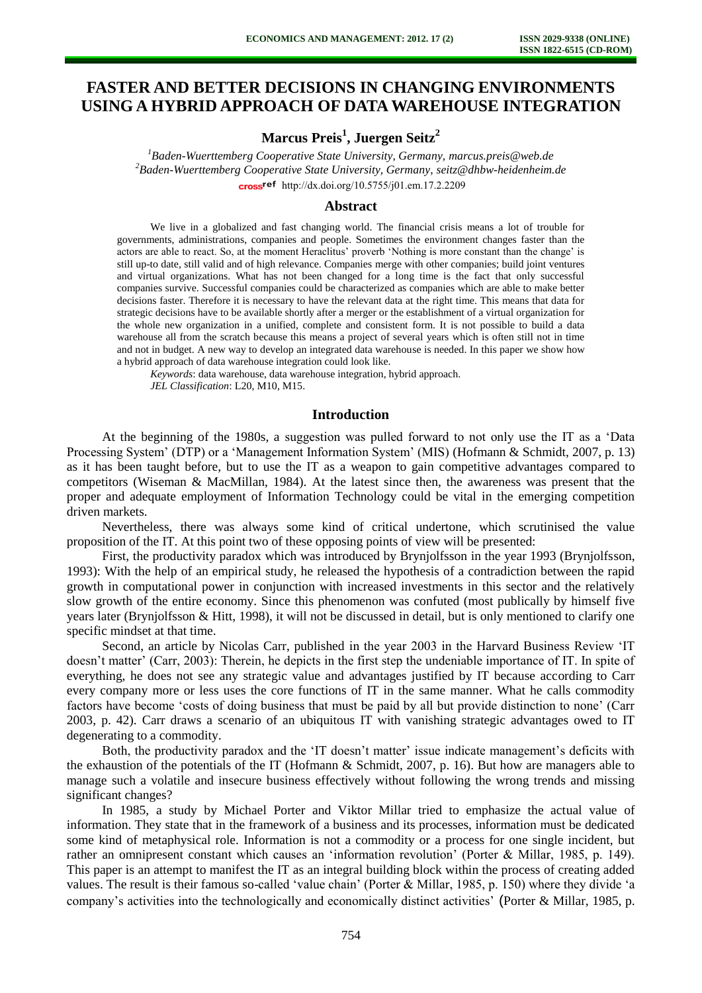# **FASTER AND BETTER DECISIONS IN CHANGING ENVIRONMENTS USING A HYBRID APPROACH OF DATA WAREHOUSE INTEGRATION**

**Marcus Preis<sup>1</sup> , Juergen Seitz<sup>2</sup>**

*<sup>1</sup>Baden-Wuerttemberg Cooperative State University, Germany, [marcus.preis@web.de](mailto:marcus.preis@web.de) <sup>2</sup>Baden-Wuerttemberg Cooperative State University, Germany, [seitz@dhbw-heidenheim.de](mailto:seitz@dhbw-heidenheim.de)* cross<sup>ref</sup> [http://dx.doi.org/10.5755/j01.e](http://dx.doi.org/10.5755/j01.em.17.2.2209)m.17.2.2209

## **Abstract**

We live in a globalized and fast changing world. The financial crisis means a lot of trouble for governments, administrations, companies and people. Sometimes the environment changes faster than the actors are able to react. So, at the moment Heraclitus' proverb 'Nothing is more constant than the change' is still up-to date, still valid and of high relevance. Companies merge with other companies; build joint ventures and virtual organizations. What has not been changed for a long time is the fact that only successful companies survive. Successful companies could be characterized as companies which are able to make better decisions faster. Therefore it is necessary to have the relevant data at the right time. This means that data for strategic decisions have to be available shortly after a merger or the establishment of a virtual organization for the whole new organization in a unified, complete and consistent form. It is not possible to build a data warehouse all from the scratch because this means a project of several years which is often still not in time and not in budget. A new way to develop an integrated data warehouse is needed. In this paper we show how a hybrid approach of data warehouse integration could look like.

*Keywords*: data warehouse, data warehouse integration, hybrid approach. *JEL Classification*: L20, M10, M15.

## **Introduction**

At the beginning of the 1980s, a suggestion was pulled forward to not only use the IT as a 'Data Processing System' (DTP) or a 'Management Information System' (MIS) (Hofmann & Schmidt, 2007, p. 13) as it has been taught before, but to use the IT as a weapon to gain competitive advantages compared to competitors (Wiseman & MacMillan, 1984). At the latest since then, the awareness was present that the proper and adequate employment of Information Technology could be vital in the emerging competition driven markets.

Nevertheless, there was always some kind of critical undertone, which scrutinised the value proposition of the IT. At this point two of these opposing points of view will be presented:

First, the productivity paradox which was introduced by Brynjolfsson in the year 1993 (Brynjolfsson, 1993): With the help of an empirical study, he released the hypothesis of a contradiction between the rapid growth in computational power in conjunction with increased investments in this sector and the relatively slow growth of the entire economy. Since this phenomenon was confuted (most publically by himself five years later (Brynjolfsson & Hitt, 1998), it will not be discussed in detail, but is only mentioned to clarify one specific mindset at that time.

Second, an article by Nicolas Carr, published in the year 2003 in the Harvard Business Review 'IT doesn't matter' (Carr, 2003): Therein, he depicts in the first step the undeniable importance of IT. In spite of everything, he does not see any strategic value and advantages justified by IT because according to Carr every company more or less uses the core functions of IT in the same manner. What he calls commodity factors have become 'costs of doing business that must be paid by all but provide distinction to none' (Carr 2003, p. 42). Carr draws a scenario of an ubiquitous IT with vanishing strategic advantages owed to IT degenerating to a commodity.

Both, the productivity paradox and the 'IT doesn't matter' issue indicate management's deficits with the exhaustion of the potentials of the IT (Hofmann & Schmidt, 2007, p. 16). But how are managers able to manage such a volatile and insecure business effectively without following the wrong trends and missing significant changes?

In 1985, a study by Michael Porter and Viktor Millar tried to emphasize the actual value of information. They state that in the framework of a business and its processes, information must be dedicated some kind of metaphysical role. Information is not a commodity or a process for one single incident, but rather an omnipresent constant which causes an 'information revolution' (Porter & Millar, 1985, p. 149). This paper is an attempt to manifest the IT as an integral building block within the process of creating added values. The result is their famous so-called 'value chain' (Porter & Millar, 1985, p. 150) where they divide 'a company's activities into the technologically and economically distinct activities' (Porter & Millar, 1985, p.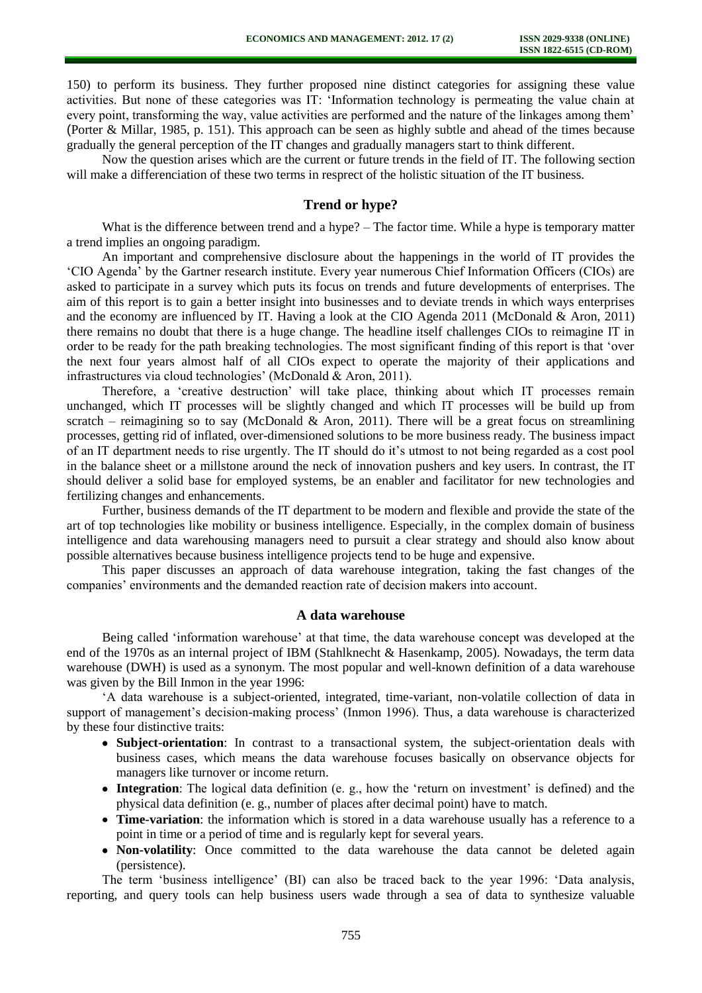150) to perform its business. They further proposed nine distinct categories for assigning these value activities. But none of these categories was IT: 'Information technology is permeating the value chain at every point, transforming the way, value activities are performed and the nature of the linkages among them' (Porter & Millar, 1985, p. 151). This approach can be seen as highly subtle and ahead of the times because gradually the general perception of the IT changes and gradually managers start to think different.

Now the question arises which are the current or future trends in the field of IT. The following section will make a differenciation of these two terms in resprect of the holistic situation of the IT business.

## **Trend or hype?**

What is the difference between trend and a hype? – The factor time. While a hype is temporary matter a trend implies an ongoing paradigm.

An important and comprehensive disclosure about the happenings in the world of IT provides the 'CIO Agenda' by the Gartner research institute. Every year numerous Chief Information Officers (CIOs) are asked to participate in a survey which puts its focus on trends and future developments of enterprises. The aim of this report is to gain a better insight into businesses and to deviate trends in which ways enterprises and the economy are influenced by IT. Having a look at the CIO Agenda 2011 (McDonald & Aron, 2011) there remains no doubt that there is a huge change. The headline itself challenges CIOs to reimagine IT in order to be ready for the path breaking technologies. The most significant finding of this report is that 'over the next four years almost half of all CIOs expect to operate the majority of their applications and infrastructures via cloud technologies' (McDonald & Aron, 2011).

Therefore, a 'creative destruction' will take place, thinking about which IT processes remain unchanged, which IT processes will be slightly changed and which IT processes will be build up from scratch – reimagining so to say (McDonald & Aron, 2011). There will be a great focus on streamlining processes, getting rid of inflated, over-dimensioned solutions to be more business ready. The business impact of an IT department needs to rise urgently. The IT should do it's utmost to not being regarded as a cost pool in the balance sheet or a millstone around the neck of innovation pushers and key users. In contrast, the IT should deliver a solid base for employed systems, be an enabler and facilitator for new technologies and fertilizing changes and enhancements.

Further, business demands of the IT department to be modern and flexible and provide the state of the art of top technologies like mobility or business intelligence. Especially, in the complex domain of business intelligence and data warehousing managers need to pursuit a clear strategy and should also know about possible alternatives because business intelligence projects tend to be huge and expensive.

This paper discusses an approach of data warehouse integration, taking the fast changes of the companies' environments and the demanded reaction rate of decision makers into account.

## **A data warehouse**

Being called 'information warehouse' at that time, the data warehouse concept was developed at the end of the 1970s as an internal project of IBM (Stahlknecht & Hasenkamp, 2005). Nowadays, the term data warehouse (DWH) is used as a synonym. The most popular and well-known definition of a data warehouse was given by the Bill Inmon in the year 1996:

'A data warehouse is a subject-oriented, integrated, time-variant, non-volatile collection of data in support of management's decision-making process' (Inmon 1996). Thus, a data warehouse is characterized by these four distinctive traits:

- **Subject-orientation**: In contrast to a transactional system, the subject-orientation deals with business cases, which means the data warehouse focuses basically on observance objects for managers like turnover or income return.
- **Integration**: The logical data definition (e. g., how the 'return on investment' is defined) and the physical data definition (e. g., number of places after decimal point) have to match.
- **Time-variation**: the information which is stored in a data warehouse usually has a reference to a point in time or a period of time and is regularly kept for several years.
- **Non-volatility**: Once committed to the data warehouse the data cannot be deleted again (persistence).

The term 'business intelligence' (BI) can also be traced back to the year 1996: 'Data analysis, reporting, and query tools can help business users wade through a sea of data to synthesize valuable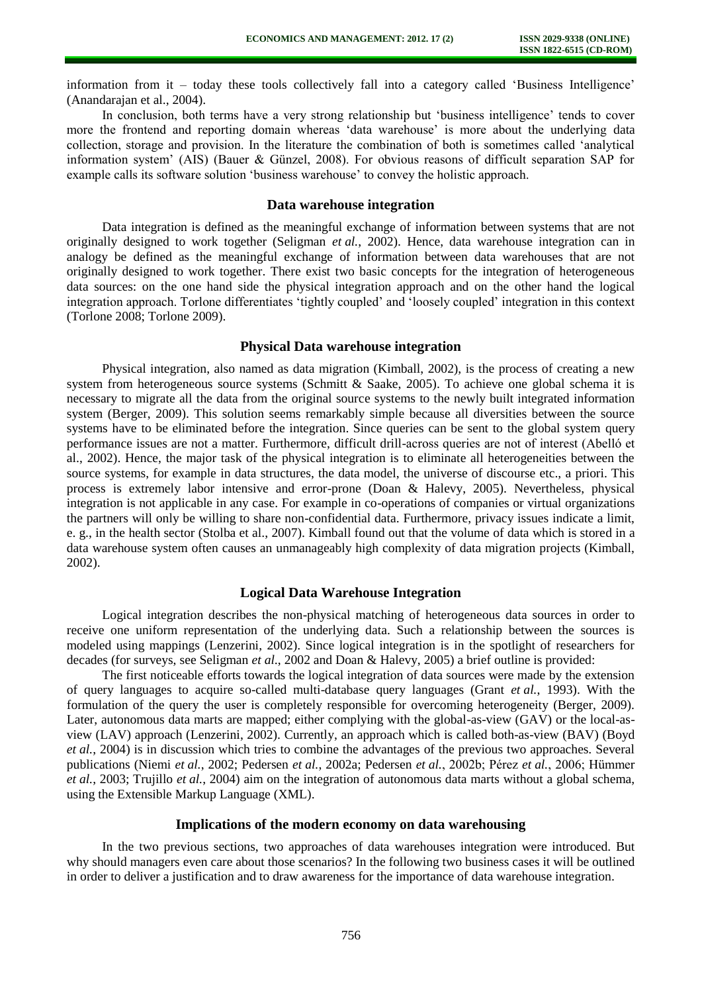information from it – today these tools collectively fall into a category called 'Business Intelligence' (Anandarajan et al., 2004).

In conclusion, both terms have a very strong relationship but 'business intelligence' tends to cover more the frontend and reporting domain whereas 'data warehouse' is more about the underlying data collection, storage and provision. In the literature the combination of both is sometimes called 'analytical information system' (AIS) (Bauer & Günzel, 2008). For obvious reasons of difficult separation SAP for example calls its software solution 'business warehouse' to convey the holistic approach.

## **Data warehouse integration**

Data integration is defined as the meaningful exchange of information between systems that are not originally designed to work together (Seligman *et al.*, 2002). Hence, data warehouse integration can in analogy be defined as the meaningful exchange of information between data warehouses that are not originally designed to work together. There exist two basic concepts for the integration of heterogeneous data sources: on the one hand side the physical integration approach and on the other hand the logical integration approach. Torlone differentiates 'tightly coupled' and 'loosely coupled' integration in this context (Torlone 2008; Torlone 2009).

## **Physical Data warehouse integration**

Physical integration, also named as data migration (Kimball, 2002), is the process of creating a new system from heterogeneous source systems (Schmitt & Saake, 2005). To achieve one global schema it is necessary to migrate all the data from the original source systems to the newly built integrated information system (Berger, 2009). This solution seems remarkably simple because all diversities between the source systems have to be eliminated before the integration. Since queries can be sent to the global system query performance issues are not a matter. Furthermore, difficult drill-across queries are not of interest (Abelló et al., 2002). Hence, the major task of the physical integration is to eliminate all heterogeneities between the source systems, for example in data structures, the data model, the universe of discourse etc., a priori. This process is extremely labor intensive and error-prone (Doan & Halevy, 2005). Nevertheless, physical integration is not applicable in any case. For example in co-operations of companies or virtual organizations the partners will only be willing to share non-confidential data. Furthermore, privacy issues indicate a limit, e. g., in the health sector (Stolba et al., 2007). Kimball found out that the volume of data which is stored in a data warehouse system often causes an unmanageably high complexity of data migration projects (Kimball, 2002).

#### **Logical Data Warehouse Integration**

Logical integration describes the non-physical matching of heterogeneous data sources in order to receive one uniform representation of the underlying data. Such a relationship between the sources is modeled using mappings (Lenzerini, 2002). Since logical integration is in the spotlight of researchers for decades (for surveys, see Seligman *et al.*, 2002 and Doan & Halevy, 2005) a brief outline is provided:

The first noticeable efforts towards the logical integration of data sources were made by the extension of query languages to acquire so-called multi-database query languages (Grant *et al.*, 1993). With the formulation of the query the user is completely responsible for overcoming heterogeneity (Berger, 2009). Later, autonomous data marts are mapped; either complying with the global-as-view (GAV) or the local-asview (LAV) approach (Lenzerini, 2002). Currently, an approach which is called both-as-view (BAV) (Boyd *et al.*, 2004) is in discussion which tries to combine the advantages of the previous two approaches. Several publications (Niemi *et al.*, 2002; Pedersen *et al.*, 2002a; Pedersen *et al.*, 2002b; Pérez *et al.*, 2006; Hümmer *et al.*, 2003; Trujillo *et al.*, 2004) aim on the integration of autonomous data marts without a global schema, using the Extensible Markup Language (XML).

#### **Implications of the modern economy on data warehousing**

In the two previous sections, two approaches of data warehouses integration were introduced. But why should managers even care about those scenarios? In the following two business cases it will be outlined in order to deliver a justification and to draw awareness for the importance of data warehouse integration.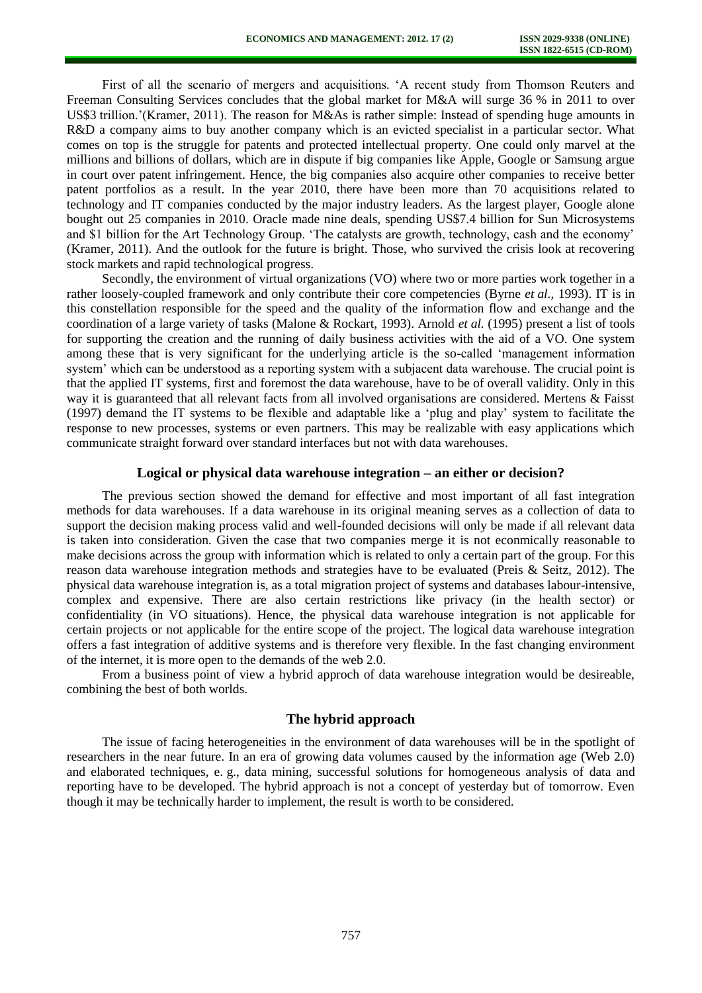First of all the scenario of mergers and acquisitions. 'A recent study from Thomson Reuters and Freeman Consulting Services concludes that the global market for M&A will surge 36 % in 2011 to over US\$3 trillion.'(Kramer, 2011). The reason for M&As is rather simple: Instead of spending huge amounts in R&D a company aims to buy another company which is an evicted specialist in a particular sector. What comes on top is the struggle for patents and protected intellectual property. One could only marvel at the millions and billions of dollars, which are in dispute if big companies like Apple, Google or Samsung argue in court over patent infringement. Hence, the big companies also acquire other companies to receive better patent portfolios as a result. In the year 2010, there have been more than 70 acquisitions related to technology and IT companies conducted by the major industry leaders. As the largest player, Google alone bought out 25 companies in 2010. Oracle made nine deals, spending US\$7.4 billion for Sun Microsystems and \$1 billion for the Art Technology Group. 'The catalysts are growth, technology, cash and the economy' (Kramer, 2011). And the outlook for the future is bright. Those, who survived the crisis look at recovering stock markets and rapid technological progress.

Secondly, the environment of virtual organizations (VO) where two or more parties work together in a rather loosely-coupled framework and only contribute their core competencies (Byrne *et al.*, 1993). IT is in this constellation responsible for the speed and the quality of the information flow and exchange and the coordination of a large variety of tasks (Malone & Rockart, 1993). Arnold *et al.* (1995) present a list of tools for supporting the creation and the running of daily business activities with the aid of a VO. One system among these that is very significant for the underlying article is the so-called 'management information system' which can be understood as a reporting system with a subjacent data warehouse. The crucial point is that the applied IT systems, first and foremost the data warehouse, have to be of overall validity. Only in this way it is guaranteed that all relevant facts from all involved organisations are considered. Mertens & Faisst (1997) demand the IT systems to be flexible and adaptable like a 'plug and play' system to facilitate the response to new processes, systems or even partners. This may be realizable with easy applications which communicate straight forward over standard interfaces but not with data warehouses.

#### **Logical or physical data warehouse integration – an either or decision?**

The previous section showed the demand for effective and most important of all fast integration methods for data warehouses. If a data warehouse in its original meaning serves as a collection of data to support the decision making process valid and well-founded decisions will only be made if all relevant data is taken into consideration. Given the case that two companies merge it is not econmically reasonable to make decisions across the group with information which is related to only a certain part of the group. For this reason data warehouse integration methods and strategies have to be evaluated (Preis & Seitz, 2012). The physical data warehouse integration is, as a total migration project of systems and databases labour-intensive, complex and expensive. There are also certain restrictions like privacy (in the health sector) or confidentiality (in VO situations). Hence, the physical data warehouse integration is not applicable for certain projects or not applicable for the entire scope of the project. The logical data warehouse integration offers a fast integration of additive systems and is therefore very flexible. In the fast changing environment of the internet, it is more open to the demands of the web 2.0.

From a business point of view a hybrid approch of data warehouse integration would be desireable, combining the best of both worlds.

## **The hybrid approach**

The issue of facing heterogeneities in the environment of data warehouses will be in the spotlight of researchers in the near future. In an era of growing data volumes caused by the information age (Web 2.0) and elaborated techniques, e. g., data mining, successful solutions for homogeneous analysis of data and reporting have to be developed. The hybrid approach is not a concept of yesterday but of tomorrow. Even though it may be technically harder to implement, the result is worth to be considered.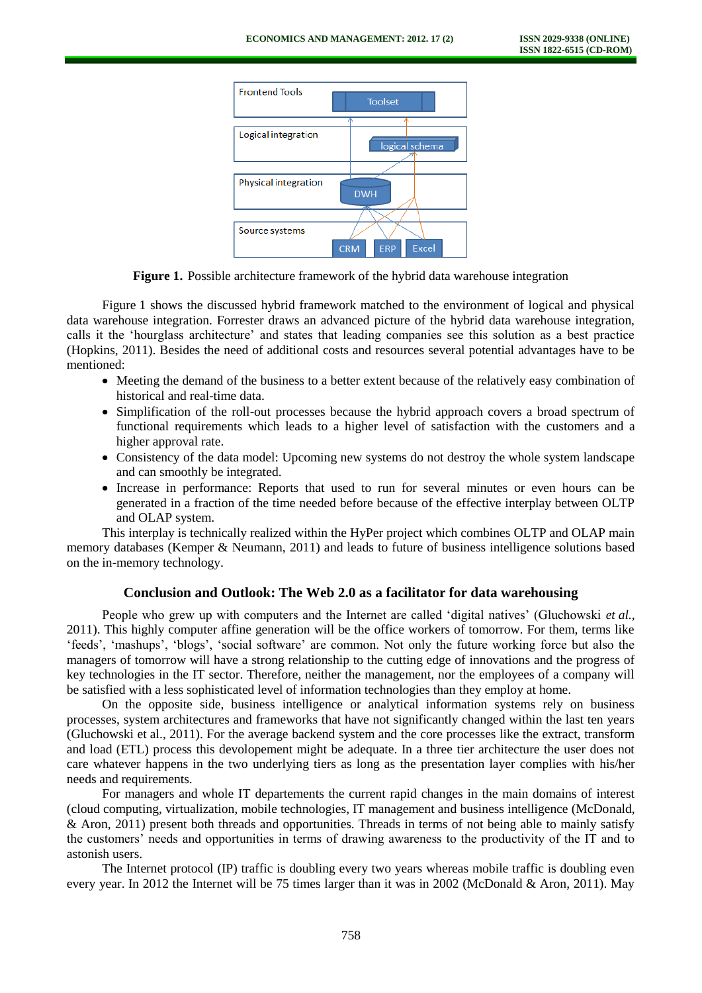

**Figure 1.** Possible architecture framework of the hybrid data warehouse integration

Figure 1 shows the discussed hybrid framework matched to the environment of logical and physical data warehouse integration. Forrester draws an advanced picture of the hybrid data warehouse integration, calls it the 'hourglass architecture' and states that leading companies see this solution as a best practice (Hopkins, 2011). Besides the need of additional costs and resources several potential advantages have to be mentioned:

- Meeting the demand of the business to a better extent because of the relatively easy combination of historical and real-time data.
- Simplification of the roll-out processes because the hybrid approach covers a broad spectrum of functional requirements which leads to a higher level of satisfaction with the customers and a higher approval rate.
- Consistency of the data model: Upcoming new systems do not destroy the whole system landscape and can smoothly be integrated.
- Increase in performance: Reports that used to run for several minutes or even hours can be generated in a fraction of the time needed before because of the effective interplay between OLTP and OLAP system.

This interplay is technically realized within the HyPer project which combines OLTP and OLAP main memory databases (Kemper & Neumann, 2011) and leads to future of business intelligence solutions based on the in-memory technology.

## **Conclusion and Outlook: The Web 2.0 as a facilitator for data warehousing**

People who grew up with computers and the Internet are called 'digital natives' (Gluchowski *et al.*, 2011). This highly computer affine generation will be the office workers of tomorrow. For them, terms like 'feeds', 'mashups', 'blogs', 'social software' are common. Not only the future working force but also the managers of tomorrow will have a strong relationship to the cutting edge of innovations and the progress of key technologies in the IT sector. Therefore, neither the management, nor the employees of a company will be satisfied with a less sophisticated level of information technologies than they employ at home.

On the opposite side, business intelligence or analytical information systems rely on business processes, system architectures and frameworks that have not significantly changed within the last ten years (Gluchowski et al., 2011). For the average backend system and the core processes like the extract, transform and load (ETL) process this devolopement might be adequate. In a three tier architecture the user does not care whatever happens in the two underlying tiers as long as the presentation layer complies with his/her needs and requirements.

For managers and whole IT departements the current rapid changes in the main domains of interest (cloud computing, virtualization, mobile technologies, IT management and business intelligence (McDonald, & Aron, 2011) present both threads and opportunities. Threads in terms of not being able to mainly satisfy the customers' needs and opportunities in terms of drawing awareness to the productivity of the IT and to astonish users.

The Internet protocol (IP) traffic is doubling every two years whereas mobile traffic is doubling even every year. In 2012 the Internet will be 75 times larger than it was in 2002 (McDonald & Aron, 2011). May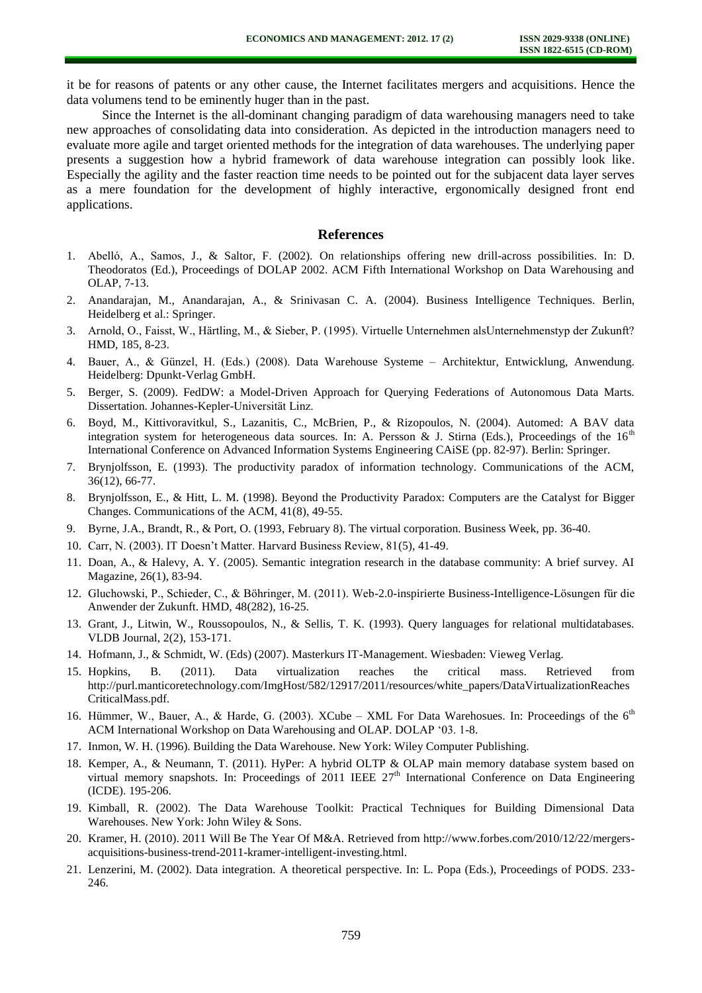it be for reasons of patents or any other cause, the Internet facilitates mergers and acquisitions. Hence the data volumens tend to be eminently huger than in the past.

Since the Internet is the all-dominant changing paradigm of data warehousing managers need to take new approaches of consolidating data into consideration. As depicted in the introduction managers need to evaluate more agile and target oriented methods for the integration of data warehouses. The underlying paper presents a suggestion how a hybrid framework of data warehouse integration can possibly look like. Especially the agility and the faster reaction time needs to be pointed out for the subjacent data layer serves as a mere foundation for the development of highly interactive, ergonomically designed front end applications.

#### **References**

- 1. Abelló, A., Samos, J., & Saltor, F. (2002). On relationships offering new drill-across possibilities. In: D. Theodoratos (Ed.), Proceedings of DOLAP 2002. ACM Fifth International Workshop on Data Warehousing and OLAP, 7-13.
- 2. Anandarajan, M., Anandarajan, A., & Srinivasan C. A. (2004). Business Intelligence Techniques. Berlin, Heidelberg et al.: Springer.
- 3. Arnold, O., Faisst, W., Härtling, M., & Sieber, P. (1995). Virtuelle Unternehmen alsUnternehmenstyp der Zukunft? HMD, 185, 8-23.
- 4. Bauer, A., & Günzel, H. (Eds.) (2008). Data Warehouse Systeme Architektur, Entwicklung, Anwendung. Heidelberg: Dpunkt-Verlag GmbH.
- 5. Berger, S. (2009). FedDW: a Model-Driven Approach for Querying Federations of Autonomous Data Marts. Dissertation. Johannes-Kepler-Universität Linz.
- 6. Boyd, M., Kittivoravitkul, S., Lazanitis, C., McBrien, P., & Rizopoulos, N. (2004). Automed: A BAV data integration system for heterogeneous data sources. In: A. Persson & J. Stirna (Eds.), Proceedings of the  $16<sup>th</sup>$ International Conference on Advanced Information Systems Engineering CAiSE (pp. 82-97). Berlin: Springer.
- 7. Brynjolfsson, E. (1993). The productivity paradox of information technology. Communications of the ACM, 36(12), 66-77.
- 8. Brynjolfsson, E., & Hitt, L. M. (1998). Beyond the Productivity Paradox: Computers are the Catalyst for Bigger Changes. Communications of the ACM, 41(8), 49-55.
- 9. Byrne, J.A., Brandt, R., & Port, O. (1993, February 8). The virtual corporation. Business Week, pp. 36-40.
- 10. Carr, N. (2003). IT Doesn't Matter. Harvard Business Review, 81(5), 41-49.
- 11. Doan, A., & Halevy, A. Y. (2005). Semantic integration research in the database community: A brief survey. AI Magazine, 26(1), 83-94.
- 12. Gluchowski, P., Schieder, C., & Böhringer, M. (2011). Web-2.0-inspirierte Business-Intelligence-Lösungen für die Anwender der Zukunft. HMD, 48(282), 16-25.
- 13. Grant, J., Litwin, W., Roussopoulos, N., & Sellis, T. K. (1993). Query languages for relational multidatabases. VLDB Journal, 2(2), 153-171.
- 14. Hofmann, J., & Schmidt, W. (Eds) (2007). Masterkurs IT-Management. Wiesbaden: Vieweg Verlag.
- 15. Hopkins, B. (2011). Data virtualization reaches the critical mass. Retrieved from [http://purl.manticoretechnology.com/ImgHost/582/12917/2011/resources/white\\_papers/DataVirtualizationReaches](http://purl.manticoretechnology.com/ImgHost/582/12917/2011/resources/white_papers/DataVirtualizationReachesCriticalMass.pdf) [CriticalMass.pdf.](http://purl.manticoretechnology.com/ImgHost/582/12917/2011/resources/white_papers/DataVirtualizationReachesCriticalMass.pdf)
- 16. Hümmer, W., Bauer, A., & Harde, G. (2003). XCube XML For Data Warehosues. In: Proceedings of the 6<sup>th</sup> ACM International Workshop on Data Warehousing and OLAP. DOLAP '03. 1-8.
- 17. Inmon, W. H. (1996). Building the Data Warehouse. New York: Wiley Computer Publishing.
- 18. Kemper, A., & Neumann, T. (2011). HyPer: A hybrid OLTP & OLAP main memory database system based on virtual memory snapshots. In: Proceedings of 2011 IEEE 27<sup>th</sup> International Conference on Data Engineering (ICDE). 195-206.
- 19. Kimball, R. (2002). The Data Warehouse Toolkit: Practical Techniques for Building Dimensional Data Warehouses. New York: John Wiley & Sons.
- 20. Kramer, H. (2010). 2011 Will Be The Year Of M&A. Retrieved from [http://www.forbes.com/2010/12/22/mergers](http://www.forbes.com/2010/12/22/mergers-acquisitions-business-trend-2011-kramer-intelligent-investing.html)[acquisitions-business-trend-2011-kramer-intelligent-investing.html.](http://www.forbes.com/2010/12/22/mergers-acquisitions-business-trend-2011-kramer-intelligent-investing.html)
- 21. Lenzerini, M. (2002). Data integration. A theoretical perspective. In: L. Popa (Eds.), Proceedings of PODS. 233- 246.